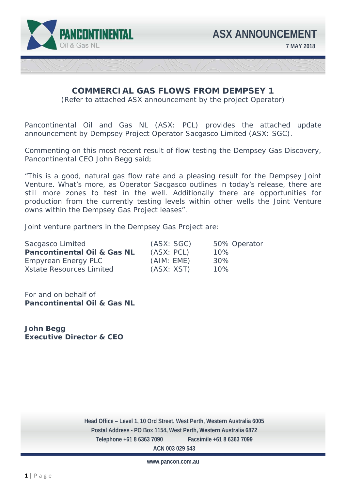

# **COMMERCIAL GAS FLOWS FROM DEMPSEY 1**

(Refer to attached ASX announcement by the project Operator)

Pancontinental Oil and Gas NL (ASX: PCL) provides the attached update announcement by Dempsey Project Operator Sacgasco Limited (ASX: SGC).

Commenting on this most recent result of flow testing the Dempsey Gas Discovery, Pancontinental CEO John Begg said;

"This is a good, natural gas flow rate and a pleasing result for the Dempsey Joint Venture. What's more, as Operator Sacgasco outlines in today's release, there are still more zones to test in the well. Additionally there are opportunities for production from the currently testing levels within other wells the Joint Venture owns within the Dempsey Gas Project leases".

Joint venture partners in the Dempsey Gas Project are:

| Sacgasco Limited                       | (ASX: SGC) | 50% Operator |
|----------------------------------------|------------|--------------|
| <b>Pancontinental Oil &amp; Gas NL</b> | (ASX: PCL) | 10%          |
| Empyrean Energy PLC                    | (AIM: EME) | 30%          |
| <b>Xstate Resources Limited</b>        | (ASX: XST) | 10%          |

For and on behalf of **Pancontinental Oil & Gas NL** 

**John Begg Executive Director & CEO** 

 **Telephone +61 8 6363 7090 Facsimile +61 8 6363 7099 Head Office – Level 1, 10 Ord Street, West Perth, Western Australia 6005 Postal Address - PO Box 1154, West Perth, Western Australia 6872 ACN 003 029 543** 

**www.pancon.com.au**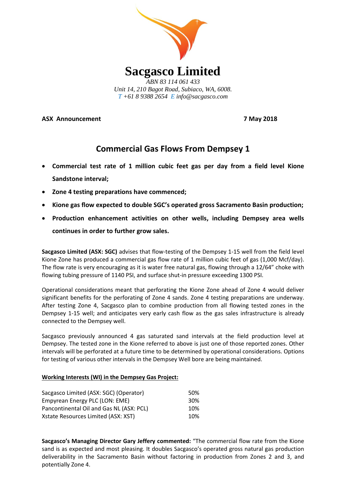

**ASX Announcement 7 May 2018**

## **Commercial Gas Flows From Dempsey 1**

- **Commercial test rate of 1 million cubic feet gas per day from a field level Kione Sandstone interval;**
- **Zone 4 testing preparations have commenced;**
- **Kione gas flow expected to double SGC's operated gross Sacramento Basin production;**
- **Production enhancement activities on other wells, including Dempsey area wells continues in order to further grow sales.**

**Sacgasco Limited (ASX: SGC)** advises that flow-testing of the Dempsey 1-15 well from the field level Kione Zone has produced a commercial gas flow rate of 1 million cubic feet of gas (1,000 Mcf/day). The flow rate is very encouraging as it is water free natural gas, flowing through a 12/64" choke with flowing tubing pressure of 1140 PSI, and surface shut-in pressure exceeding 1300 PSI.

Operational considerations meant that perforating the Kione Zone ahead of Zone 4 would deliver significant benefits for the perforating of Zone 4 sands. Zone 4 testing preparations are underway. After testing Zone 4, Sacgasco plan to combine production from all flowing tested zones in the Dempsey 1-15 well; and anticipates very early cash flow as the gas sales infrastructure is already connected to the Dempsey well.

Sacgasco previously announced 4 gas saturated sand intervals at the field production level at Dempsey. The tested zone in the Kione referred to above is just one of those reported zones. Other intervals will be perforated at a future time to be determined by operational considerations. Options for testing of various other intervals in the Dempsey Well bore are being maintained.

## **Working Interests (WI) in the Dempsey Gas Project:**

| Sacgasco Limited (ASX: SGC) (Operator)   | .50%            |
|------------------------------------------|-----------------|
| Empyrean Energy PLC (LON: EME)           | 30 <sup>%</sup> |
| Pancontinental Oil and Gas NL (ASX: PCL) | 10%             |
| Xstate Resources Limited (ASX: XST)      | 10%             |

**Sacgasco's Managing Director Gary Jeffery commented:** "The commercial flow rate from the Kione sand is as expected and most pleasing. It doubles Sacgasco's operated gross natural gas production deliverability in the Sacramento Basin without factoring in production from Zones 2 and 3, and potentially Zone 4.